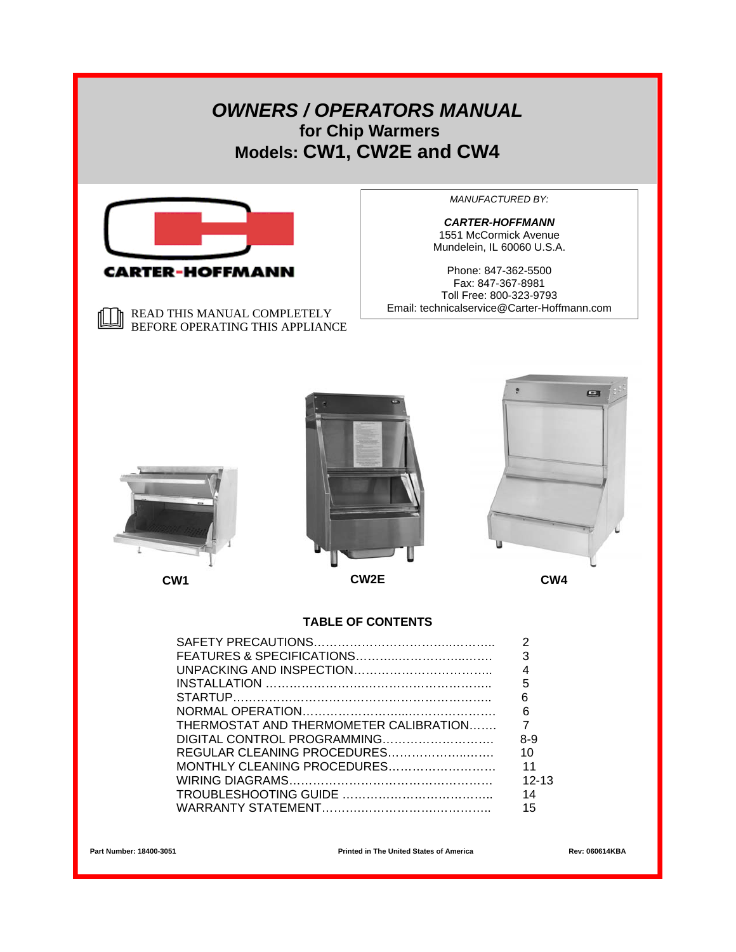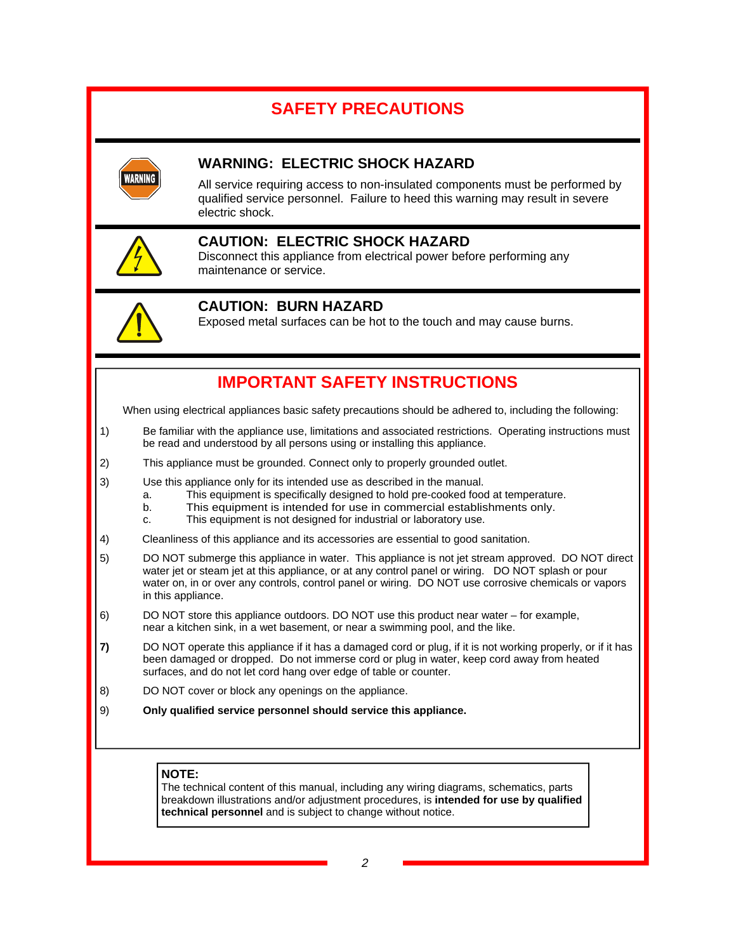# **SAFETY PRECAUTIONS**



## **WARNING: ELECTRIC SHOCK HAZARD**

All service requiring access to non-insulated components must be performed by qualified service personnel. Failure to heed this warning may result in severe electric shock.



## **CAUTION: ELECTRIC SHOCK HAZARD**

Disconnect this appliance from electrical power before performing any maintenance or service.



## **CAUTION: BURN HAZARD**

Exposed metal surfaces can be hot to the touch and may cause burns.

## **IMPORTANT SAFETY INSTRUCTIONS**

When using electrical appliances basic safety precautions should be adhered to, including the following:

- 1) Be familiar with the appliance use, limitations and associated restrictions. Operating instructions must be read and understood by all persons using or installing this appliance.
- 2) This appliance must be grounded. Connect only to properly grounded outlet.
- 3) Use this appliance only for its intended use as described in the manual.
	- a. This equipment is specifically designed to hold pre-cooked food at temperature.
	- b. This equipment is intended for use in commercial establishments only.
	- c. This equipment is not designed for industrial or laboratory use.
- 4) Cleanliness of this appliance and its accessories are essential to good sanitation.
- 5) DO NOT submerge this appliance in water. This appliance is not jet stream approved. DO NOT direct water jet or steam jet at this appliance, or at any control panel or wiring. DO NOT splash or pour water on, in or over any controls, control panel or wiring. DO NOT use corrosive chemicals or vapors in this appliance.
- 6) DO NOT store this appliance outdoors. DO NOT use this product near water for example, near a kitchen sink, in a wet basement, or near a swimming pool, and the like.
- **7)** DO NOT operate this appliance if it has a damaged cord or plug, if it is not working properly, or if it has been damaged or dropped. Do not immerse cord or plug in water, keep cord away from heated surfaces, and do not let cord hang over edge of table or counter.
- 8) DO NOT cover or block any openings on the appliance.
- 9) **Only qualified service personnel should service this appliance.**

#### **NOTE:**

The technical content of this manual, including any wiring diagrams, schematics, parts breakdown illustrations and/or adjustment procedures, is **intended for use by qualified technical personnel** and is subject to change without notice.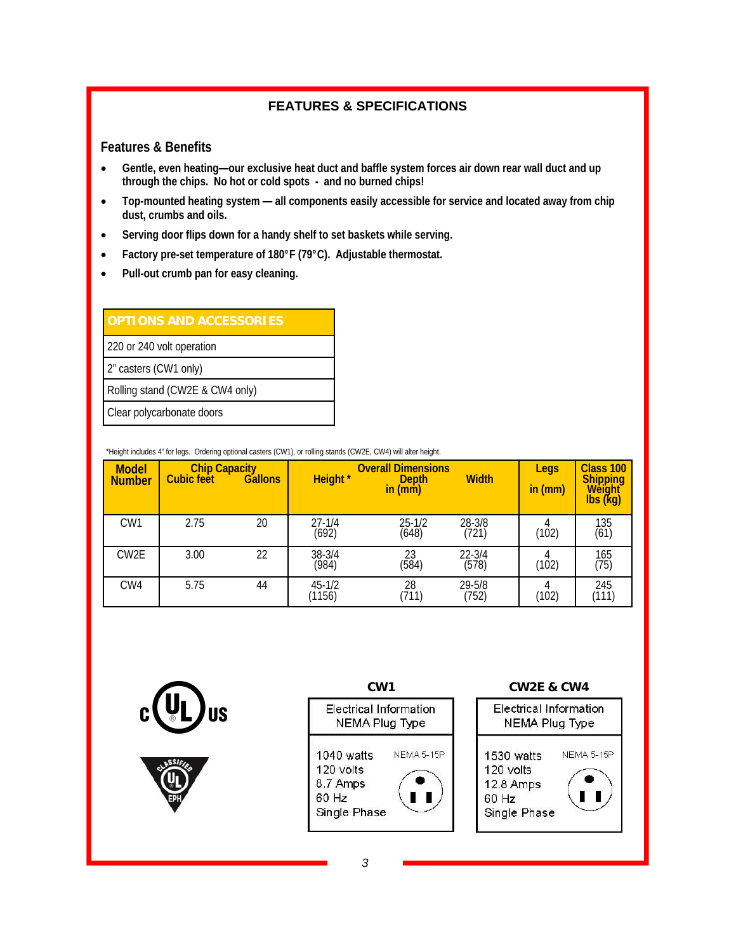## **FEATURES & SPECIFICATIONS**

#### **Features & Benefits**

- **Gentle, even heating—our exclusive heat duct and baffle system forces air down rear wall duct and up through the chips. No hot or cold spots - and no burned chips!**
- **Top-mounted heating system all components easily accessible for service and located away from chip dust, crumbs and oils.**
- **Serving door flips down for a handy shelf to set baskets while serving.**
- **Factory pre-set temperature of 180°F (79°C). Adjustable thermostat.**
- **Pull-out crumb pan for easy cleaning.**

| <b>OPTIONS AND ACCESSORIES</b>  |
|---------------------------------|
| 220 or 240 volt operation       |
| 2" casters (CW1 only)           |
| Rolling stand (CW2E & CW4 only) |
| Clear polycarbonate doors       |

\*Height includes 4" for legs. Ordering optional casters (CW1), or rolling stands (CW2E, CW4) will alter height.

| <b>Model</b><br><b>Number</b> | Chip Capacity<br>Cubic feet Ga | <b>Gallons</b> | <b>Height</b> *         | <b>Overall Dimensions</b><br><b>Depth</b><br>in (mm) | <b>Width</b>    | Legs<br>in (mm) | <b>Class 100</b><br>Shipping<br>Weight<br>$\overline{\text{lbs}}$ (kg) |
|-------------------------------|--------------------------------|----------------|-------------------------|------------------------------------------------------|-----------------|-----------------|------------------------------------------------------------------------|
| CW <sub>1</sub>               | 2.75                           | 20             | $27 - 1/4$<br><br>(692) | $25 - 1/2$<br>(648)                                  | 28-3/8<br>(721) | (102)           | 135<br>(61)                                                            |
| CW <sub>2</sub> E             | 3.00                           | 22             | 38-3/4<br>(984)         | $\frac{23}{(584)}$                                   | 22-3/4<br>(578) | (102)           | 165<br>(75)                                                            |
| CW <sub>4</sub>               | 5.75                           | 44             | $45 - 1/2$<br>(1156)    | 28<br>(711)                                          | 29-5/8<br>(752) | (102)           | 245<br>(111)                                                           |



*3*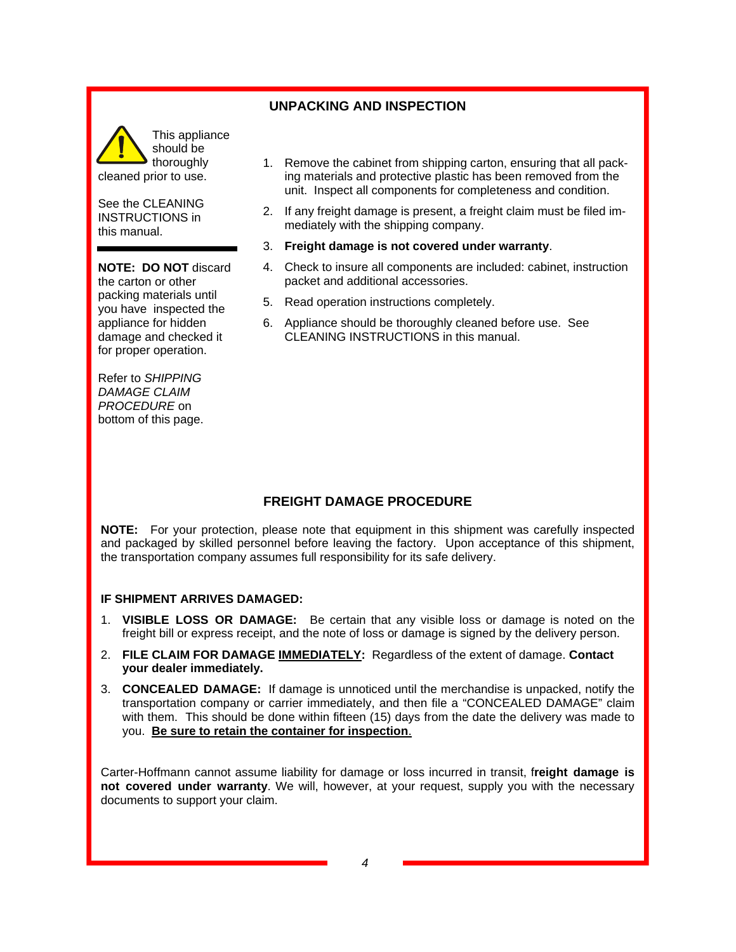#### **UNPACKING AND INSPECTION**



See the CLEANING INSTRUCTIONS in this manual.

**NOTE: DO NOT** discard the carton or other packing materials until you have inspected the appliance for hidden damage and checked it for proper operation.

Refer to *SHIPPING DAMAGE CLAIM PROCEDURE* on bottom of this page.

- 1. Remove the cabinet from shipping carton, ensuring that all packing materials and protective plastic has been removed from the unit. Inspect all components for completeness and condition.
- 2. If any freight damage is present, a freight claim must be filed immediately with the shipping company.
- 3. **Freight damage is not covered under warranty**.
- 4. Check to insure all components are included: cabinet, instruction packet and additional accessories.
- 5. Read operation instructions completely.
- 6. Appliance should be thoroughly cleaned before use. See CLEANING INSTRUCTIONS in this manual.

#### **FREIGHT DAMAGE PROCEDURE**

**NOTE:** For your protection, please note that equipment in this shipment was carefully inspected and packaged by skilled personnel before leaving the factory. Upon acceptance of this shipment, the transportation company assumes full responsibility for its safe delivery.

#### **IF SHIPMENT ARRIVES DAMAGED:**

- 1. **VISIBLE LOSS OR DAMAGE:** Be certain that any visible loss or damage is noted on the freight bill or express receipt, and the note of loss or damage is signed by the delivery person.
- 2. **FILE CLAIM FOR DAMAGE IMMEDIATELY:** Regardless of the extent of damage. **Contact your dealer immediately.**
- 3. **CONCEALED DAMAGE:** If damage is unnoticed until the merchandise is unpacked, notify the transportation company or carrier immediately, and then file a "CONCEALED DAMAGE" claim with them. This should be done within fifteen (15) days from the date the delivery was made to you. **Be sure to retain the container for inspection**.

Carter-Hoffmann cannot assume liability for damage or loss incurred in transit, f**reight damage is not covered under warranty**. We will, however, at your request, supply you with the necessary documents to support your claim.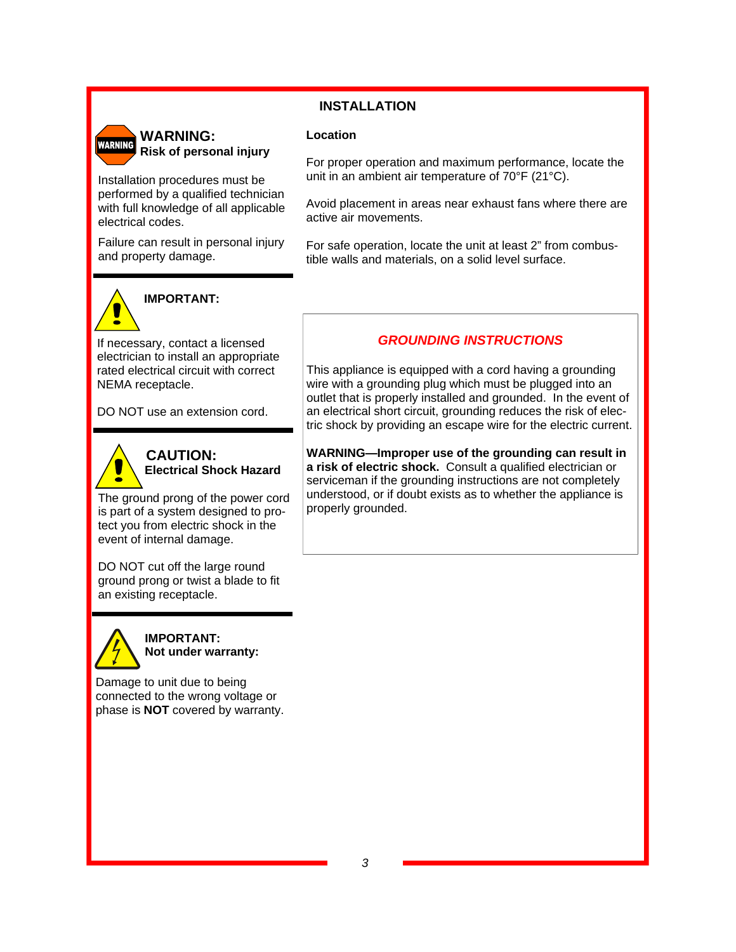## **INSTALLATION**

#### **Location**



Installation procedures must be performed by a qualified technician with full knowledge of all applicable electrical codes.

Failure can result in personal injury and property damage.



## **IMPORTANT:**

If necessary, contact a licensed electrician to install an appropriate rated electrical circuit with correct NEMA receptacle.

DO NOT use an extension cord.



 **CAUTION: Electrical Shock Hazard** 

The ground prong of the power cord is part of a system designed to protect you from electric shock in the event of internal damage.

DO NOT cut off the large round ground prong or twist a blade to fit an existing receptacle.



**IMPORTANT: Not under warranty:** 

Damage to unit due to being connected to the wrong voltage or phase is **NOT** covered by warranty.

For proper operation and maximum performance, locate the unit in an ambient air temperature of 70°F (21°C).

Avoid placement in areas near exhaust fans where there are active air movements.

For safe operation, locate the unit at least 2" from combustible walls and materials, on a solid level surface.

#### *GROUNDING INSTRUCTIONS*

This appliance is equipped with a cord having a grounding wire with a grounding plug which must be plugged into an outlet that is properly installed and grounded. In the event of an electrical short circuit, grounding reduces the risk of electric shock by providing an escape wire for the electric current.

**WARNING—Improper use of the grounding can result in a risk of electric shock.** Consult a qualified electrician or serviceman if the grounding instructions are not completely understood, or if doubt exists as to whether the appliance is properly grounded.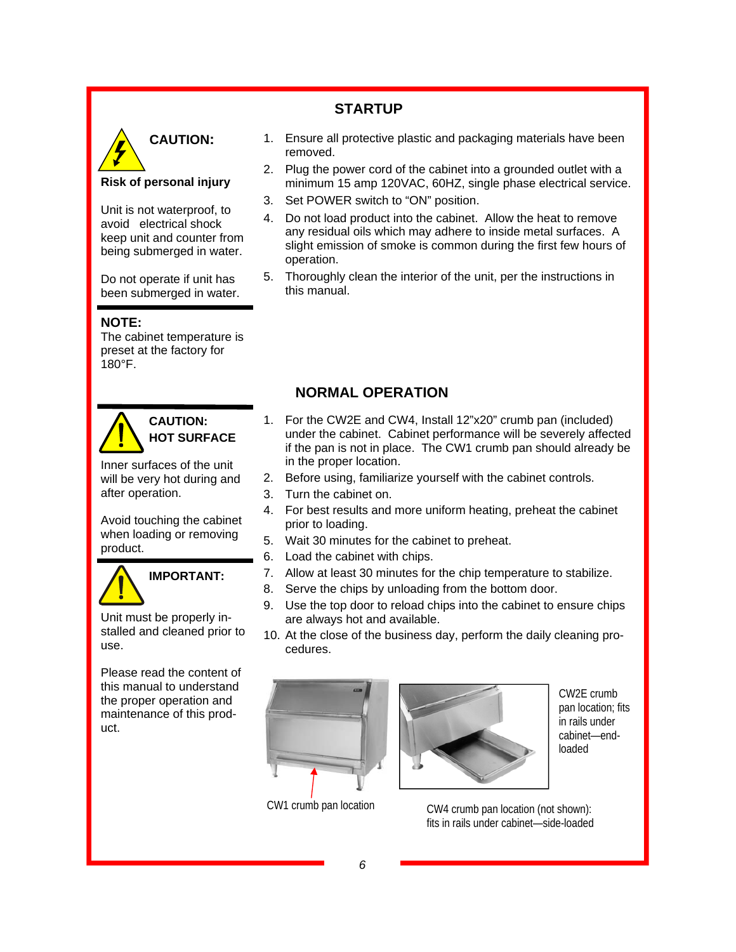## **STARTUP**



#### **Risk of personal injury**

Unit is not waterproof, to avoid electrical shock keep unit and counter from being submerged in water.

Do not operate if unit has been submerged in water.

#### **NOTE:**

The cabinet temperature is preset at the factory for 180°F.



## **CAUTION: HOT SURFACE**

Inner surfaces of the unit will be very hot during and after operation.

Avoid touching the cabinet when loading or removing product.



# **IMPORTANT:**

Unit must be properly installed and cleaned prior to use.

Please read the content of this manual to understand the proper operation and maintenance of this product.

- 1. Ensure all protective plastic and packaging materials have been removed.
- 2. Plug the power cord of the cabinet into a grounded outlet with a minimum 15 amp 120VAC, 60HZ, single phase electrical service.
- 3. Set POWER switch to "ON" position.
- 4. Do not load product into the cabinet. Allow the heat to remove any residual oils which may adhere to inside metal surfaces. A slight emission of smoke is common during the first few hours of operation.
- 5. Thoroughly clean the interior of the unit, per the instructions in this manual.

## **NORMAL OPERATION**

- 1. For the CW2E and CW4, Install 12"x20" crumb pan (included) under the cabinet. Cabinet performance will be severely affected if the pan is not in place. The CW1 crumb pan should already be in the proper location.
- 2. Before using, familiarize yourself with the cabinet controls.
- 3. Turn the cabinet on.
- 4. For best results and more uniform heating, preheat the cabinet prior to loading.
- 5. Wait 30 minutes for the cabinet to preheat.
- 6. Load the cabinet with chips.
- 7. Allow at least 30 minutes for the chip temperature to stabilize.
- 8. Serve the chips by unloading from the bottom door.
- 9. Use the top door to reload chips into the cabinet to ensure chips are always hot and available.
- 10. At the close of the business day, perform the daily cleaning procedures.





CW2E crumb pan location; fits in rails under cabinet—endloaded

CW1 crumb pan location CW4 crumb pan location (not shown): fits in rails under cabinet—side-loaded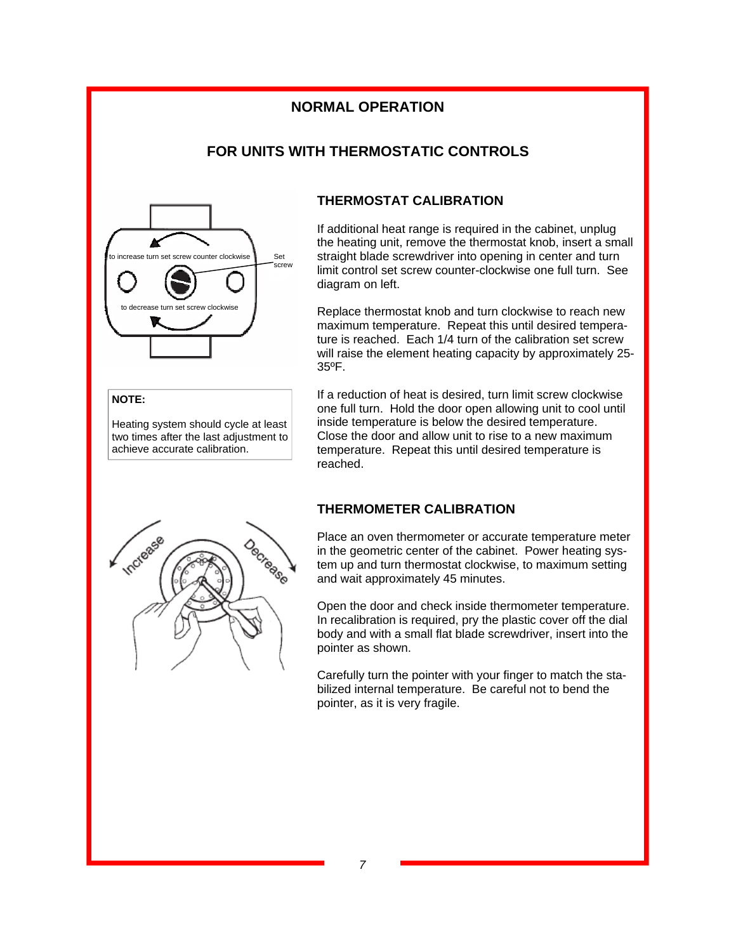## **NORMAL OPERATION**

## **FOR UNITS WITH THERMOSTATIC CONTROLS**



#### **NOTE:**

Heating system should cycle at least two times after the last adjustment to achieve accurate calibration.

#### **THERMOSTAT CALIBRATION**

If additional heat range is required in the cabinet, unplug the heating unit, remove the thermostat knob, insert a small straight blade screwdriver into opening in center and turn limit control set screw counter-clockwise one full turn. See diagram on left.

Replace thermostat knob and turn clockwise to reach new maximum temperature. Repeat this until desired temperature is reached. Each 1/4 turn of the calibration set screw will raise the element heating capacity by approximately 25-35ºF.

If a reduction of heat is desired, turn limit screw clockwise one full turn. Hold the door open allowing unit to cool until inside temperature is below the desired temperature. Close the door and allow unit to rise to a new maximum temperature. Repeat this until desired temperature is reached.



Place an oven thermometer or accurate temperature meter in the geometric center of the cabinet. Power heating system up and turn thermostat clockwise, to maximum setting and wait approximately 45 minutes.

Open the door and check inside thermometer temperature. In recalibration is required, pry the plastic cover off the dial body and with a small flat blade screwdriver, insert into the pointer as shown.

Carefully turn the pointer with your finger to match the stabilized internal temperature. Be careful not to bend the pointer, as it is very fragile.

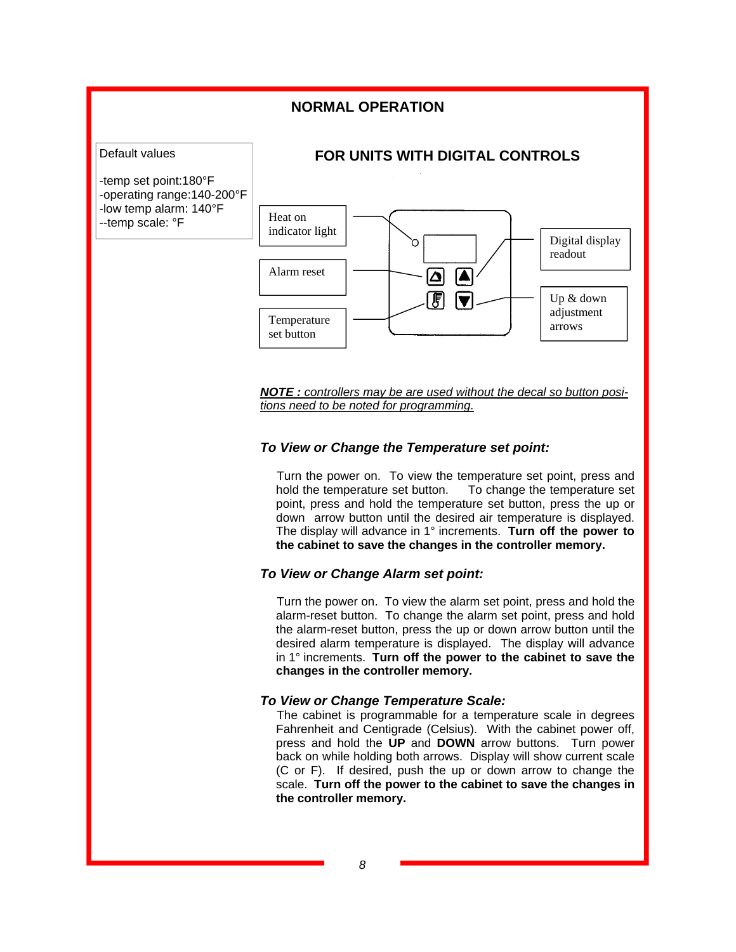#### **NORMAL OPERATION**



*NOTE : controllers may be are used without the decal so button positions need to be noted for programming.* 

#### *To View or Change the Temperature set point:*

Turn the power on. To view the temperature set point, press and hold the temperature set To change the temperature set point, press and hold the temperature set button, press the up or down arrow button until the desired air temperature is displayed. The display will advance in 1° increments. **Turn off the power to the cabinet to save the changes in the controller memory.**

#### *To View or Change Alarm set point:*

Turn the power on. To view the alarm set point, press and hold the alarm-reset button. To change the alarm set point, press and hold the alarm-reset button, press the up or down arrow button until the desired alarm temperature is displayed. The display will advance in 1° increments. **Turn off the power to the cabinet to save the changes in the controller memory.**

#### *To View or Change Temperature Scale:*

The cabinet is programmable for a temperature scale in degrees Fahrenheit and Centigrade (Celsius). With the cabinet power off, press and hold the **UP** and **DOWN** arrow buttons. Turn power back on while holding both arrows. Display will show current scale (C or F). If desired, push the up or down arrow to change the scale. **Turn off the power to the cabinet to save the changes in the controller memory.**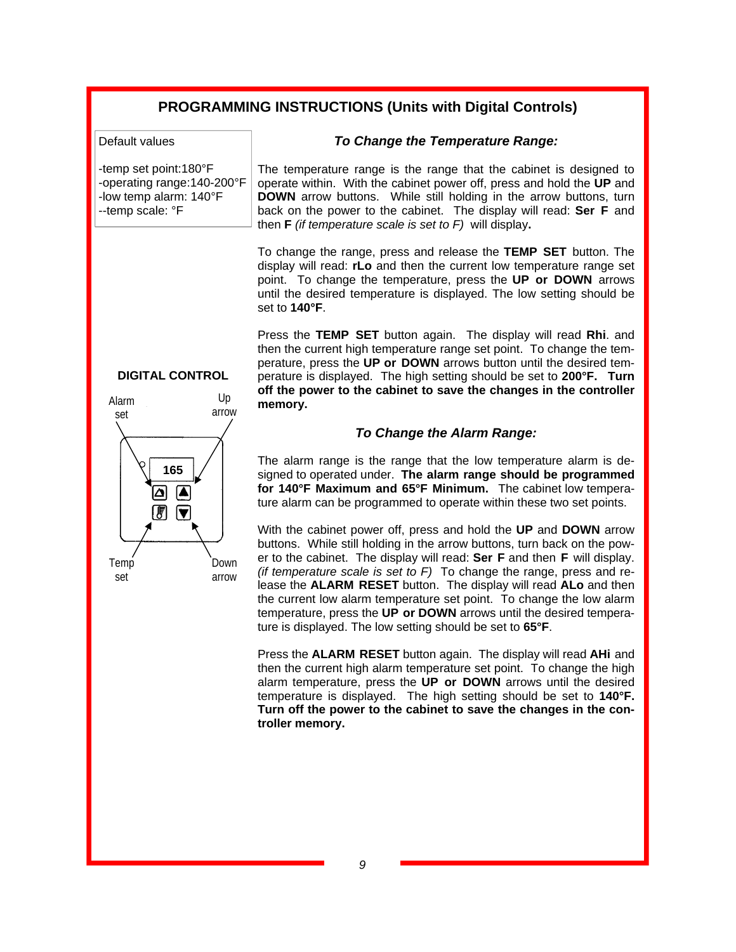## **PROGRAMMING INSTRUCTIONS (Units with Digital Controls)**

Default values

-temp set point:180°F -operating range:140-200°F -low temp alarm: 140°F --temp scale: °F

*To Change the Temperature Range:* 

The temperature range is the range that the cabinet is designed to operate within. With the cabinet power off, press and hold the **UP** and **DOWN** arrow buttons. While still holding in the arrow buttons, turn back on the power to the cabinet. The display will read: **Ser F** and then **F** *(if temperature scale is set to F)* will display**.** 

To change the range, press and release the **TEMP SET** button. The display will read: **rLo** and then the current low temperature range set point. To change the temperature, press the **UP or DOWN** arrows until the desired temperature is displayed. The low setting should be set to **140°F**.

Press the **TEMP SET** button again. The display will read **Rhi**. and then the current high temperature range set point. To change the temperature, press the **UP or DOWN** arrows button until the desired temperature is displayed. The high setting should be set to **200°F. Turn off the power to the cabinet to save the changes in the controller memory.**

#### *To Change the Alarm Range:*

The alarm range is the range that the low temperature alarm is designed to operated under. **The alarm range should be programmed for 140°F Maximum and 65°F Minimum.** The cabinet low temperature alarm can be programmed to operate within these two set points.

With the cabinet power off, press and hold the **UP** and **DOWN** arrow buttons. While still holding in the arrow buttons, turn back on the power to the cabinet. The display will read: **Ser F** and then **F** will display. *(if temperature scale is set to F)* To change the range, press and release the **ALARM RESET** button. The display will read **ALo** and then the current low alarm temperature set point. To change the low alarm temperature, press the **UP or DOWN** arrows until the desired temperature is displayed. The low setting should be set to **65°F**.

Press the **ALARM RESET** button again. The display will read **AHi** and then the current high alarm temperature set point. To change the high alarm temperature, press the **UP or DOWN** arrows until the desired temperature is displayed. The high setting should be set to **140°F. Turn off the power to the cabinet to save the changes in the controller memory.**

#### **DIGITAL CONTROL**

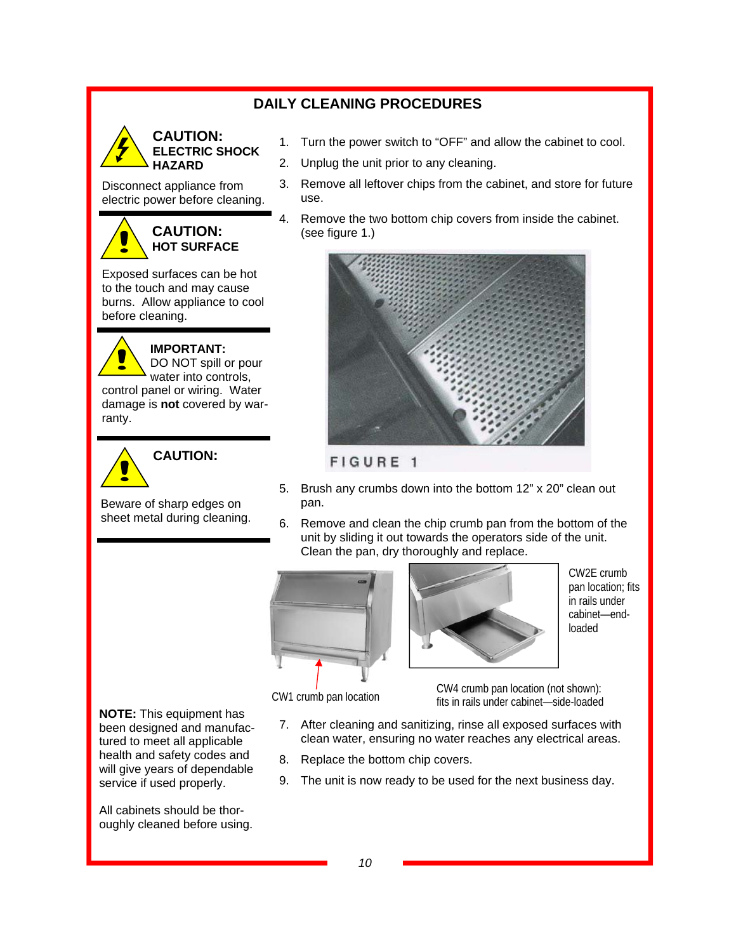## **DAILY CLEANING PROCEDURES**



Disconnect appliance from

electric power before cleaning.



Exposed surfaces can be hot to the touch and may cause burns. Allow appliance to cool before cleaning.

**IMPORTANT:**  N DO NOT spill or pour water into controls, control panel or wiring. Water damage is **not** covered by warranty.



Beware of sharp edges on

sheet metal during cleaning.

- 1. Turn the power switch to "OFF" and allow the cabinet to cool.
- 2. Unplug the unit prior to any cleaning.
- 3. Remove all leftover chips from the cabinet, and store for future use.
- 4. Remove the two bottom chip covers from inside the cabinet. (see figure 1.)



#### FIGURE 1

- 5. Brush any crumbs down into the bottom 12" x 20" clean out pan.
- 6. Remove and clean the chip crumb pan from the bottom of the unit by sliding it out towards the operators side of the unit. Clean the pan, dry thoroughly and replace.





CW2E crumb pan location; fits in rails under cabinet—endloaded

CW1 crumb pan location

CW4 crumb pan location (not shown): fits in rails under cabinet—side-loaded

- 7. After cleaning and sanitizing, rinse all exposed surfaces with clean water, ensuring no water reaches any electrical areas.
- 8. Replace the bottom chip covers.
- 9. The unit is now ready to be used for the next business day.

**NOTE:** This equipment has been designed and manufactured to meet all applicable health and safety codes and will give years of dependable service if used properly.

All cabinets should be thoroughly cleaned before using.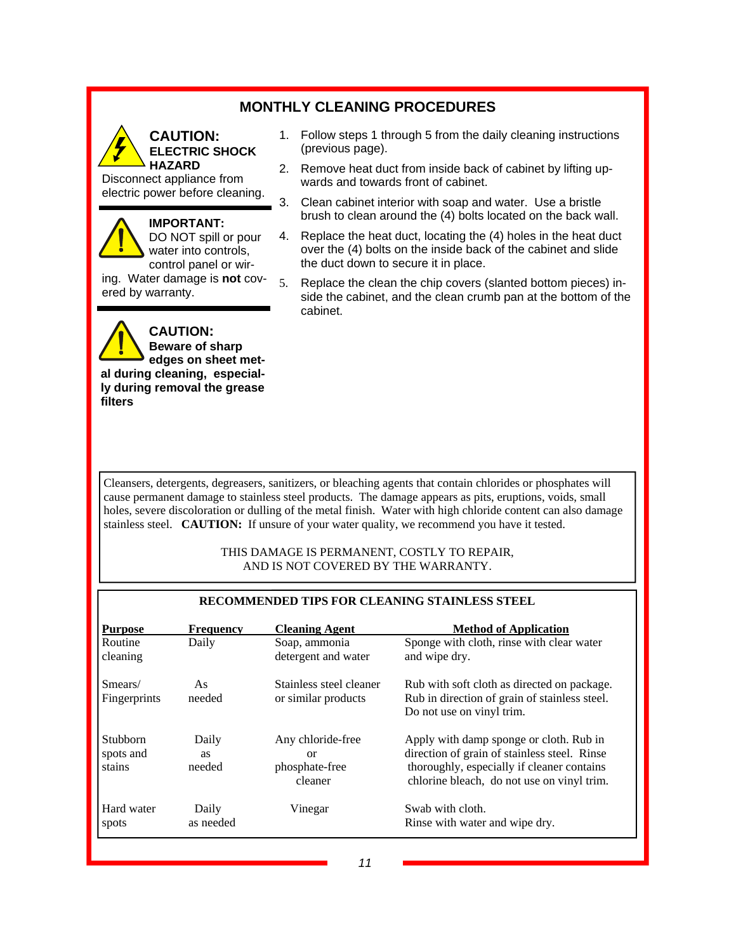## **MONTHLY CLEANING PROCEDURES**



#### **CAUTION: ELECTRIC SHOCK HAZARD**

Disconnect appliance from electric power before cleaning.

#### **IMPORTANT:**

DO NOT spill or pour water into controls, control panel or wir-

ing. Water damage is **not** covered by warranty.



- 1. Follow steps 1 through 5 from the daily cleaning instructions (previous page).
- 2. Remove heat duct from inside back of cabinet by lifting upwards and towards front of cabinet.
- 3. Clean cabinet interior with soap and water. Use a bristle brush to clean around the (4) bolts located on the back wall.
- 4. Replace the heat duct, locating the (4) holes in the heat duct over the (4) bolts on the inside back of the cabinet and slide the duct down to secure it in place.
- 5. Replace the clean the chip covers (slanted bottom pieces) inside the cabinet, and the clean crumb pan at the bottom of the cabinet.

Cleansers, detergents, degreasers, sanitizers, or bleaching agents that contain chlorides or phosphates will cause permanent damage to stainless steel products. The damage appears as pits, eruptions, voids, small holes, severe discoloration or dulling of the metal finish. Water with high chloride content can also damage stainless steel. **CAUTION:** If unsure of your water quality, we recommend you have it tested.

#### THIS DAMAGE IS PERMANENT, COSTLY TO REPAIR, AND IS NOT COVERED BY THE WARRANTY.

| RECOMMENDED TIPS FOR CLEANING STAINLESS STEEL |                       |                                                                 |                                                                                                                                                                                     |  |  |  |
|-----------------------------------------------|-----------------------|-----------------------------------------------------------------|-------------------------------------------------------------------------------------------------------------------------------------------------------------------------------------|--|--|--|
| <b>Purpose</b>                                | <b>Frequency</b>      | <b>Cleaning Agent</b>                                           | <b>Method of Application</b>                                                                                                                                                        |  |  |  |
| Routine<br>cleaning                           | Daily                 | Soap, ammonia<br>detergent and water                            | Sponge with cloth, rinse with clear water<br>and wipe dry.                                                                                                                          |  |  |  |
| Smears/<br>Fingerprints                       | As<br>needed          | Stainless steel cleaner<br>or similar products                  | Rub with soft cloth as directed on package.<br>Rub in direction of grain of stainless steel.<br>Do not use on vinyl trim.                                                           |  |  |  |
| <b>Stubborn</b><br>spots and<br>stains        | Daily<br>as<br>needed | Any chloride-free<br><sub>or</sub><br>phosphate-free<br>cleaner | Apply with damp sponge or cloth. Rub in<br>direction of grain of stainless steel. Rinse<br>thoroughly, especially if cleaner contains<br>chlorine bleach, do not use on vinyl trim. |  |  |  |
| Hard water<br>spots                           | Daily<br>as needed    | Vinegar                                                         | Swab with cloth.<br>Rinse with water and wipe dry.                                                                                                                                  |  |  |  |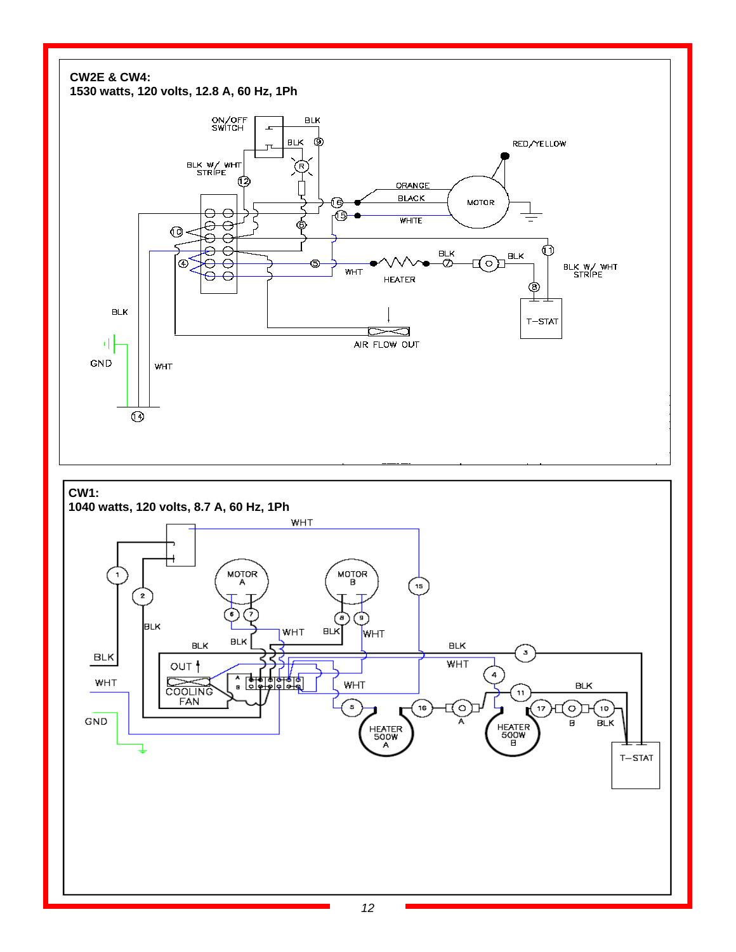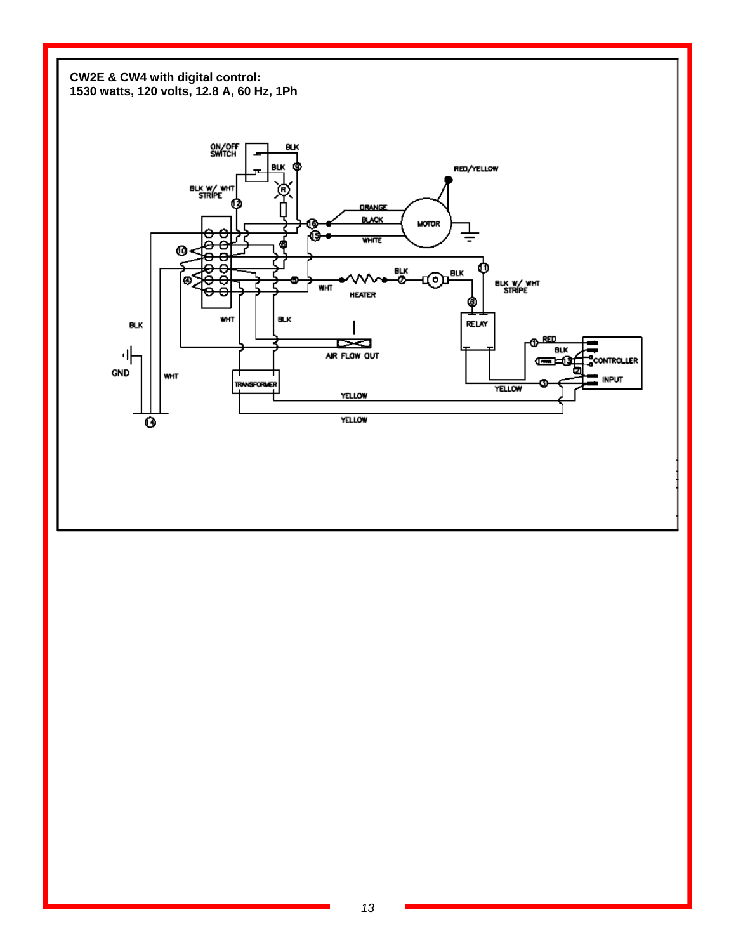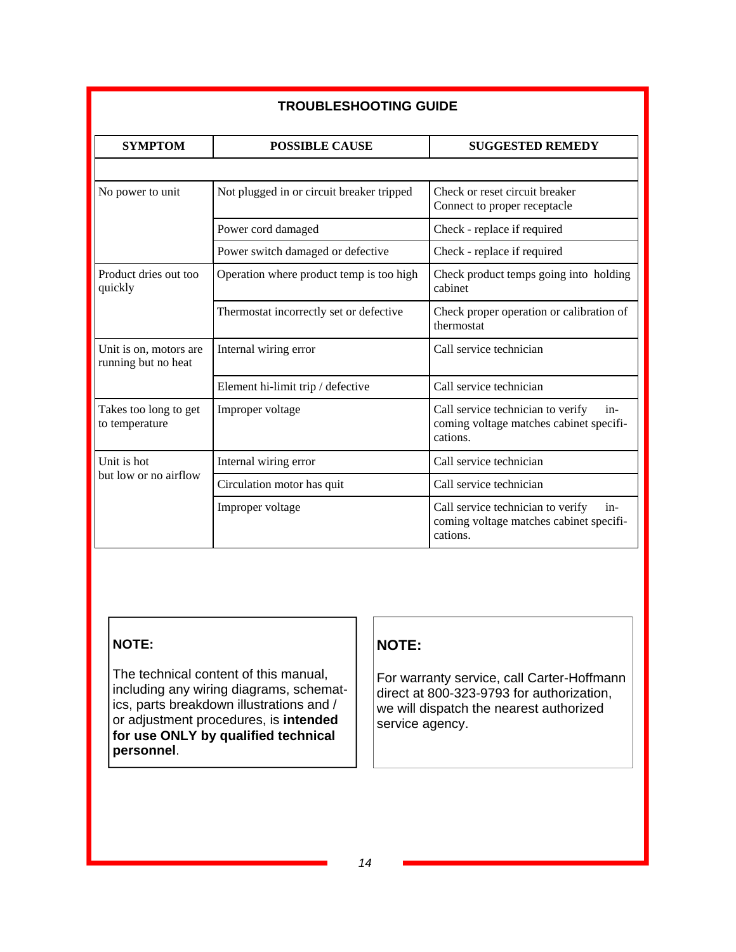| <b>TROUBLESHOOTING GUIDE</b>                  |                                           |                                                                                                   |  |  |  |  |  |
|-----------------------------------------------|-------------------------------------------|---------------------------------------------------------------------------------------------------|--|--|--|--|--|
| <b>SYMPTOM</b>                                | <b>POSSIBLE CAUSE</b>                     | <b>SUGGESTED REMEDY</b>                                                                           |  |  |  |  |  |
|                                               |                                           |                                                                                                   |  |  |  |  |  |
| No power to unit                              | Not plugged in or circuit breaker tripped | Check or reset circuit breaker<br>Connect to proper receptacle                                    |  |  |  |  |  |
|                                               | Power cord damaged                        | Check - replace if required                                                                       |  |  |  |  |  |
|                                               | Power switch damaged or defective         | Check - replace if required                                                                       |  |  |  |  |  |
| Product dries out too<br>quickly              | Operation where product temp is too high  | Check product temps going into holding<br>cabinet                                                 |  |  |  |  |  |
|                                               | Thermostat incorrectly set or defective   | Check proper operation or calibration of<br>thermostat                                            |  |  |  |  |  |
| Unit is on, motors are<br>running but no heat | Internal wiring error                     | Call service technician                                                                           |  |  |  |  |  |
|                                               | Element hi-limit trip / defective         | Call service technician                                                                           |  |  |  |  |  |
| Takes too long to get<br>to temperature       | Improper voltage                          | Call service technician to verify<br>$in-$<br>coming voltage matches cabinet specifi-<br>cations. |  |  |  |  |  |
| Unit is hot                                   | Internal wiring error                     | Call service technician                                                                           |  |  |  |  |  |
| but low or no airflow                         | Circulation motor has quit                | Call service technician                                                                           |  |  |  |  |  |
|                                               | Improper voltage                          | Call service technician to verify<br>in-<br>coming voltage matches cabinet specifi-<br>cations.   |  |  |  |  |  |

# **NOTE:**

The technical content of this manual, including any wiring diagrams, schematics, parts breakdown illustrations and / or adjustment procedures, is **intended for use ONLY by qualified technical personnel**.

## **NOTE:**

For warranty service, call Carter-Hoffmann direct at 800-323-9793 for authorization, we will dispatch the nearest authorized service agency.